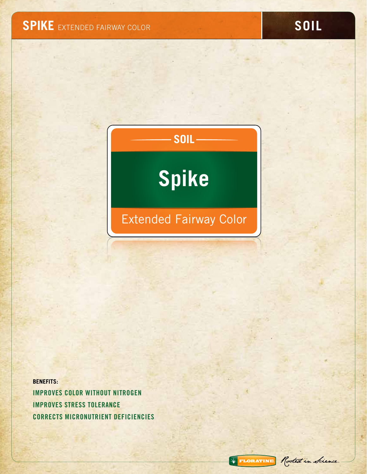# **SOIL Spike**

# Extended Fairway Color

**BENEFITS:** IMPROVES COLOR WITHOUT NITROGEN IMPROVES STRESS TOLERANCE CORRECTS MICRONUTRIENT DEFICIENCIES